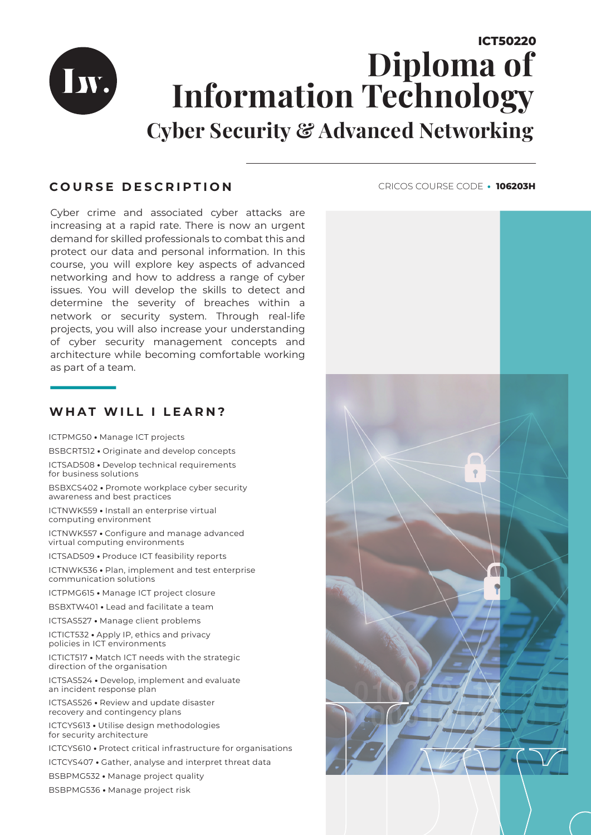## **ICT50220 Diploma of Information Technology Cyber Security & Advanced Networking**

## **COURSE DESCRIPTION**

Iw.

Cyber crime and associated cyber attacks are increasing at a rapid rate. There is now an urgent demand for skilled professionals to combat this and protect our data and personal information. In this course, you will explore key aspects of advanced networking and how to address a range of cyber issues. You will develop the skills to detect and determine the severity of breaches within a network or security system. Through real-life projects, you will also increase your understanding of cyber security management concepts and architecture while becoming comfortable working as part of a team.

### **WHAT WILL I LEARN?**

ICTPMG50 **•** Manage ICT projects

BSBCRT512 **•** Originate and develop concepts

ICTSAD508 **•** Develop technical requirements for business solutions

BSBXCS402 **•** Promote workplace cyber security awareness and best practices

ICTNWK559 **•** Install an enterprise virtual computing environment

ICTNWK557 **•** Configure and manage advanced virtual computing environments

ICTSAD509 **•** Produce ICT feasibility reports

ICTNWK536 **•** Plan, implement and test enterprise communication solutions

ICTPMG615 **•** Manage ICT project closure

BSBXTW401 **•** Lead and facilitate a team

ICTSAS527 **•** Manage client problems

ICTICT532 **•** Apply IP, ethics and privacy policies in ICT environments

ICTICT517 **•** Match ICT needs with the strategic direction of the organisation

ICTSAS524 **•** Develop, implement and evaluate an incident response plan

ICTSAS526 **•** Review and update disaster recovery and contingency plans

ICTCYS613 **•** Utilise design methodologies for security architecture

ICTCYS610 **•** Protect critical infrastructure for organisations

ICTCYS407 **•** Gather, analyse and interpret threat data

BSBPMG532 **•** Manage project quality

BSBPMG536 **•** Manage project risk